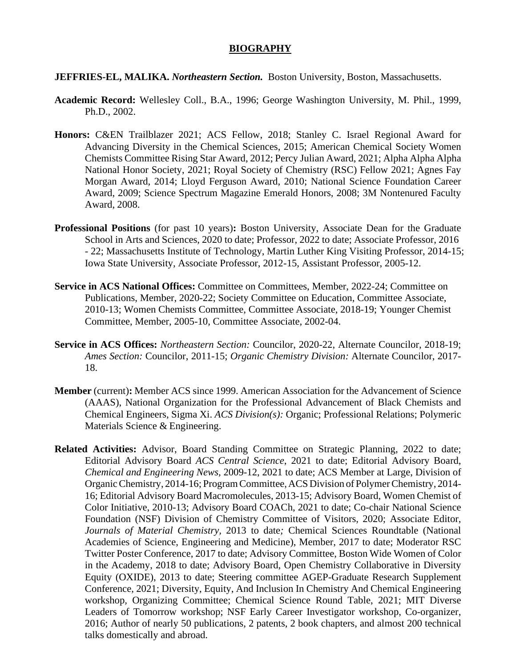## **BIOGRAPHY**

#### **JEFFRIES-EL, MALIKA.** *Northeastern Section.* Boston University, Boston, Massachusetts.

- **Academic Record:** Wellesley Coll., B.A., 1996; George Washington University, M. Phil., 1999, Ph.D., 2002.
- **Honors:** C&EN Trailblazer 2021; ACS Fellow, 2018; Stanley C. Israel Regional Award for Advancing Diversity in the Chemical Sciences, 2015; American Chemical Society Women Chemists Committee Rising Star Award, 2012; Percy Julian Award, 2021; Alpha Alpha Alpha National Honor Society, 2021; Royal Society of Chemistry (RSC) Fellow 2021; Agnes Fay Morgan Award, 2014; Lloyd Ferguson Award, 2010; National Science Foundation Career Award, 2009; Science Spectrum Magazine Emerald Honors, 2008; 3M Nontenured Faculty Award, 2008.
- **Professional Positions** (for past 10 years)**:** Boston University, Associate Dean for the Graduate School in Arts and Sciences, 2020 to date; Professor, 2022 to date; Associate Professor, 2016 - 22; Massachusetts Institute of Technology, Martin Luther King Visiting Professor, 2014-15; Iowa State University, Associate Professor, 2012-15, Assistant Professor, 2005-12.
- **Service in ACS National Offices:** Committee on Committees, Member, 2022-24; Committee on Publications, Member, 2020-22; Society Committee on Education, Committee Associate, 2010-13; Women Chemists Committee, Committee Associate, 2018-19; Younger Chemist Committee, Member, 2005-10, Committee Associate, 2002-04.
- **Service in ACS Offices:** *Northeastern Section:* Councilor, 2020-22, Alternate Councilor, 2018-19; *Ames Section:* Councilor, 2011-15; *Organic Chemistry Division:* Alternate Councilor, 2017- 18.
- **Member** (current)**:** Member ACS since 1999. American Association for the Advancement of Science (AAAS), National Organization for the Professional Advancement of Black Chemists and Chemical Engineers, Sigma Xi. *ACS Division(s):* Organic; Professional Relations; Polymeric Materials Science & Engineering.
- **Related Activities:** Advisor, Board Standing Committee on Strategic Planning, 2022 to date; Editorial Advisory Board *ACS Central Science*, 2021 to date; Editorial Advisory Board, *Chemical and Engineering News,* 2009-12, 2021 to date; ACS Member at Large, Division of OrganicChemistry, 2014-16; ProgramCommittee,ACS Division of PolymerChemistry, 2014- 16; Editorial Advisory Board Macromolecules, 2013-15; Advisory Board, Women Chemist of Color Initiative, 2010-13; Advisory Board COACh, 2021 to date; Co-chair National Science Foundation (NSF) Division of Chemistry Committee of Visitors, 2020; Associate Editor, *Journals of Material Chemistry,* 2013 to date*;* Chemical Sciences Roundtable (National Academies of Science, Engineering and Medicine), Member, 2017 to date; Moderator RSC Twitter Poster Conference, 2017 to date; Advisory Committee, Boston Wide Women of Color in the Academy, 2018 to date; Advisory Board, Open Chemistry Collaborative in Diversity Equity (OXIDE), 2013 to date; Steering committee AGEP-Graduate Research Supplement Conference, 2021; Diversity, Equity, And Inclusion In Chemistry And Chemical Engineering workshop*,* Organizing Committee; Chemical Science Round Table, 2021; MIT Diverse Leaders of Tomorrow workshop; NSF Early Career Investigator workshop, Co-organizer, 2016; Author of nearly 50 publications, 2 patents, 2 book chapters, and almost 200 technical talks domestically and abroad.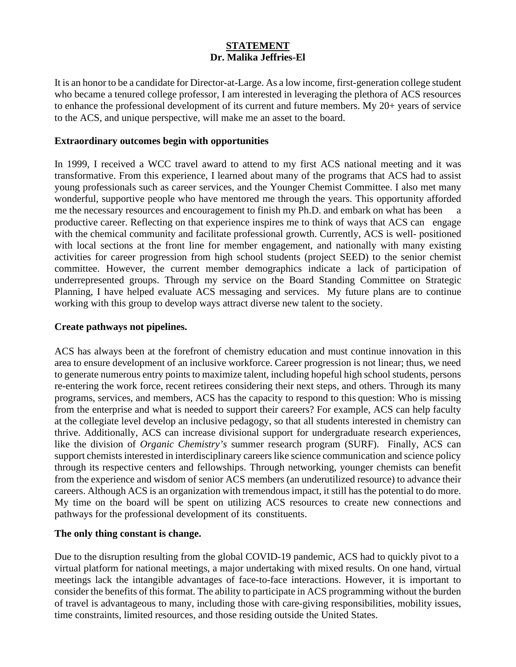# **STATEMENT Dr. Malika Jeffries-El**

It is an honor to be a candidate for Director-at-Large. As a low income, first-generation college student who became a tenured college professor, I am interested in leveraging the plethora of ACS resources to enhance the professional development of its current and future members. My 20+ years of service to the ACS, and unique perspective, will make me an asset to the board.

## **Extraordinary outcomes begin with opportunities**

In 1999, I received a WCC travel award to attend to my first ACS national meeting and it was transformative. From this experience, I learned about many of the programs that ACS had to assist young professionals such as career services, and the Younger Chemist Committee. I also met many wonderful, supportive people who have mentored me through the years. This opportunity afforded me the necessary resources and encouragement to finish my Ph.D. and embark on what has been a productive career. Reflecting on that experience inspires me to think of ways that ACS can engage with the chemical community and facilitate professional growth. Currently, ACS is well-positioned with local sections at the front line for member engagement, and nationally with many existing activities for career progression from high school students (project SEED) to the senior chemist committee. However, the current member demographics indicate a lack of participation of underrepresented groups. Through my service on the Board Standing Committee on Strategic Planning, I have helped evaluate ACS messaging and services. My future plans are to continue working with this group to develop ways attract diverse new talent to the society.

### **Create pathways not pipelines.**

ACS has always been at the forefront of chemistry education and must continue innovation in this area to ensure development of an inclusive workforce. Career progression is not linear; thus, we need to generate numerous entry points to maximize talent, including hopeful high school students, persons re-entering the work force, recent retirees considering their next steps, and others. Through its many programs, services, and members, ACS has the capacity to respond to this question: Who is missing from the enterprise and what is needed to support their careers? For example, ACS can help faculty at the collegiate level develop an inclusive pedagogy, so that all students interested in chemistry can thrive. Additionally, ACS can increase divisional support for undergraduate research experiences, like the division of *Organic Chemistry's* summer research program (SURF). Finally, ACS can support chemists interested in interdisciplinary careers like science communication and science policy through its respective centers and fellowships. Through networking, younger chemists can benefit from the experience and wisdom of senior ACS members (an underutilized resource) to advance their careers. Although ACS is an organization with tremendous impact, it still has the potential to do more. My time on the board will be spent on utilizing ACS resources to create new connections and pathways for the professional development of its constituents.

### **The only thing constant is change.**

Due to the disruption resulting from the global COVID-19 pandemic, ACS had to quickly pivot to a virtual platform for national meetings, a major undertaking with mixed results. On one hand, virtual meetings lack the intangible advantages of face-to-face interactions. However, it is important to consider the benefits of this format. The ability to participate in ACS programming without the burden of travel is advantageous to many, including those with care-giving responsibilities, mobility issues, time constraints, limited resources, and those residing outside the United States.